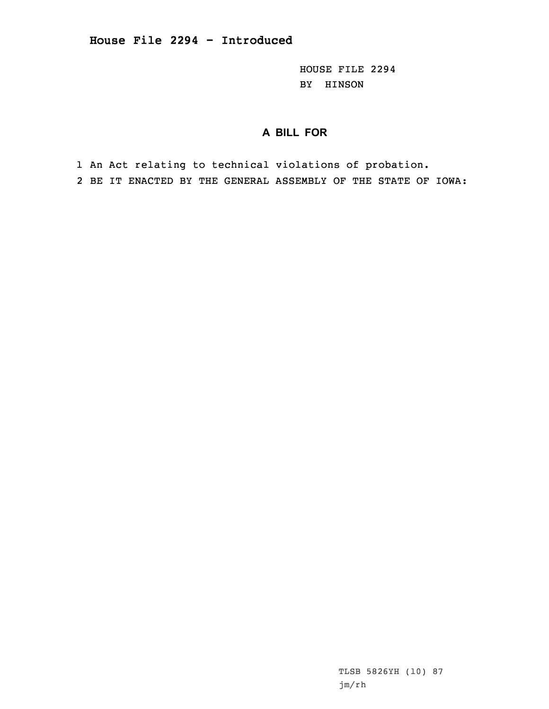HOUSE FILE 2294 BY HINSON

## **A BILL FOR**

1 An Act relating to technical violations of probation. 2 BE IT ENACTED BY THE GENERAL ASSEMBLY OF THE STATE OF IOWA:

> TLSB 5826YH (10) 87 jm/rh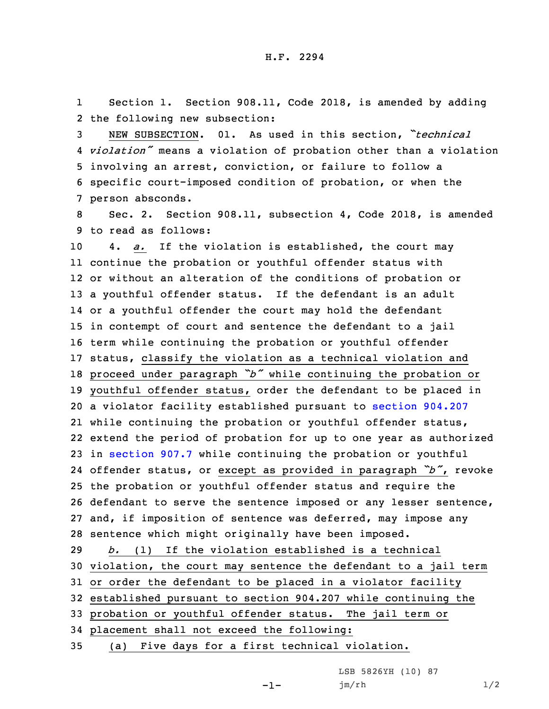1 Section 1. Section 908.11, Code 2018, is amended by adding 2 the following new subsection:

 NEW SUBSECTION. 01. As used in this section, *"technical violation"* means <sup>a</sup> violation of probation other than <sup>a</sup> violation involving an arrest, conviction, or failure to follow <sup>a</sup> specific court-imposed condition of probation, or when the person absconds.

8 Sec. 2. Section 908.11, subsection 4, Code 2018, is amended 9 to read as follows:

 4. *a.* If the violation is established, the court may continue the probation or youthful offender status with or without an alteration of the conditions of probation or <sup>a</sup> youthful offender status. If the defendant is an adult or <sup>a</sup> youthful offender the court may hold the defendant in contempt of court and sentence the defendant to <sup>a</sup> jail term while continuing the probation or youthful offender status, classify the violation as <sup>a</sup> technical violation and proceed under paragraph *"b"* while continuing the probation or youthful offender status, order the defendant to be placed in <sup>a</sup> violator facility established pursuant to section [904.207](https://www.legis.iowa.gov/docs/code/2018/904.207.pdf) while continuing the probation or youthful offender status, extend the period of probation for up to one year as authorized in [section](https://www.legis.iowa.gov/docs/code/2018/907.7.pdf) 907.7 while continuing the probation or youthful offender status, or except as provided in paragraph *"b"*, revoke the probation or youthful offender status and require the defendant to serve the sentence imposed or any lesser sentence, and, if imposition of sentence was deferred, may impose any sentence which might originally have been imposed. *b.* (1) If the violation established is <sup>a</sup> technical

 violation, the court may sentence the defendant to <sup>a</sup> jail term or order the defendant to be placed in <sup>a</sup> violator facility established pursuant to section 904.207 while continuing the probation or youthful offender status. The jail term or placement shall not exceed the following:

35 (a) Five days for <sup>a</sup> first technical violation.

LSB 5826YH (10) 87

-1-